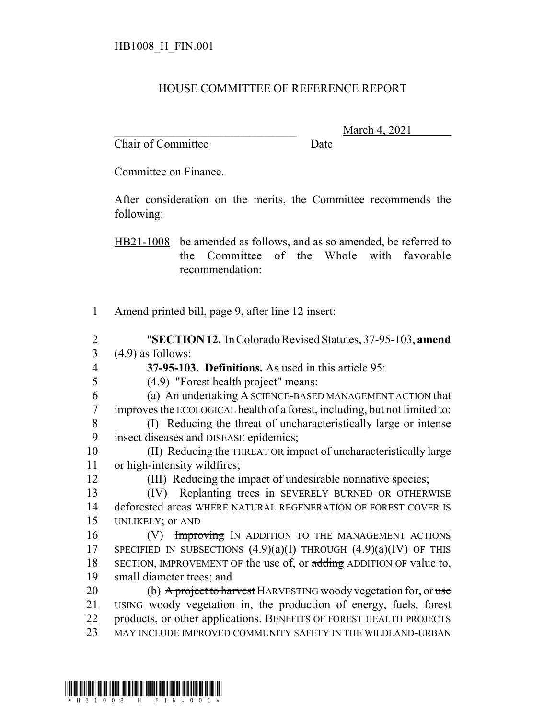## HOUSE COMMITTEE OF REFERENCE REPORT

Chair of Committee Date

March 4, 2021

Committee on Finance.

After consideration on the merits, the Committee recommends the following:

HB21-1008 be amended as follows, and as so amended, be referred to the Committee of the Whole with favorable recommendation:

- 1 Amend printed bill, page 9, after line 12 insert:
- 2 "**SECTION 12.** In Colorado Revised Statutes, 37-95-103, **amend**  $3 \quad (4.9)$  as follows:
- 4 **37-95-103. Definitions.** As used in this article 95:
- - 5 (4.9) "Forest health project" means:
	- 6 (a) An undertaking A SCIENCE-BASED MANAGEMENT ACTION that 7 improves the ECOLOGICAL health of a forest, including, but not limited to:
	- 8 (I) Reducing the threat of uncharacteristically large or intense 9 insect diseases and DISEASE epidemics;
- 10 (II) Reducing the THREAT OR impact of uncharacteristically large 11 or high-intensity wildfires;
- 12 (III) Reducing the impact of undesirable nonnative species;
- 13 (IV) Replanting trees in SEVERELY BURNED OR OTHERWISE 14 deforested areas WHERE NATURAL REGENERATION OF FOREST COVER IS 15 UNLIKELY; or AND
- 16 (V) Improving IN ADDITION TO THE MANAGEMENT ACTIONS 17 SPECIFIED IN SUBSECTIONS  $(4.9)(a)(I)$  THROUGH  $(4.9)(a)(IV)$  OF THIS 18 SECTION, IMPROVEMENT OF the use of, or adding ADDITION OF value to, 19 small diameter trees; and
- 20 (b) A project to harvest HARVESTING woody vegetation for, or use 21 USING woody vegetation in, the production of energy, fuels, forest 22 products, or other applications. BENEFITS OF FOREST HEALTH PROJECTS 23 MAY INCLUDE IMPROVED COMMUNITY SAFETY IN THE WILDLAND-URBAN
-